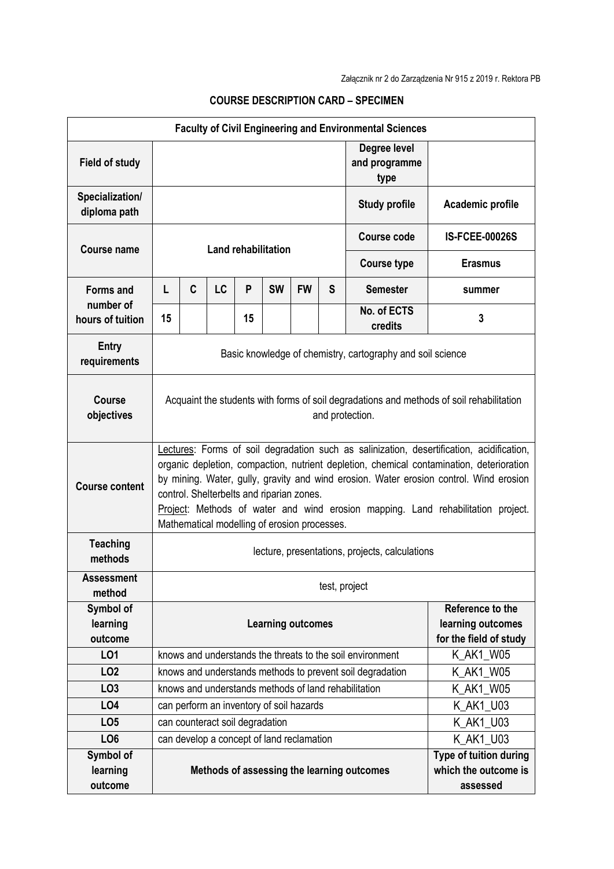| <b>Faculty of Civil Engineering and Environmental Sciences</b> |                                                                                                                                                                                                                                                                                                                                                                                                                                                                  |   |           |    |                                           |           |                        |                                                      |                        |
|----------------------------------------------------------------|------------------------------------------------------------------------------------------------------------------------------------------------------------------------------------------------------------------------------------------------------------------------------------------------------------------------------------------------------------------------------------------------------------------------------------------------------------------|---|-----------|----|-------------------------------------------|-----------|------------------------|------------------------------------------------------|------------------------|
| <b>Field of study</b>                                          |                                                                                                                                                                                                                                                                                                                                                                                                                                                                  |   |           |    |                                           |           |                        | Degree level<br>and programme<br>type                |                        |
| Specialization/<br>diploma path                                |                                                                                                                                                                                                                                                                                                                                                                                                                                                                  |   |           |    |                                           |           |                        | <b>Study profile</b>                                 | Academic profile       |
| <b>Course name</b>                                             | <b>Land rehabilitation</b>                                                                                                                                                                                                                                                                                                                                                                                                                                       |   |           |    |                                           |           |                        | Course code                                          | <b>IS-FCEE-00026S</b>  |
|                                                                |                                                                                                                                                                                                                                                                                                                                                                                                                                                                  |   |           |    |                                           |           |                        | <b>Course type</b>                                   | <b>Erasmus</b>         |
| <b>Forms and</b>                                               | L                                                                                                                                                                                                                                                                                                                                                                                                                                                                | C | <b>LC</b> | P  | <b>SW</b>                                 | <b>FW</b> | S                      | <b>Semester</b>                                      | summer                 |
| number of<br>hours of tuition                                  | 15                                                                                                                                                                                                                                                                                                                                                                                                                                                               |   |           | 15 |                                           |           |                        | No. of ECTS<br>credits                               | 3                      |
| <b>Entry</b><br>requirements                                   | Basic knowledge of chemistry, cartography and soil science                                                                                                                                                                                                                                                                                                                                                                                                       |   |           |    |                                           |           |                        |                                                      |                        |
| <b>Course</b><br>objectives                                    | Acquaint the students with forms of soil degradations and methods of soil rehabilitation<br>and protection.                                                                                                                                                                                                                                                                                                                                                      |   |           |    |                                           |           |                        |                                                      |                        |
| <b>Course content</b>                                          | Lectures: Forms of soil degradation such as salinization, desertification, acidification,<br>organic depletion, compaction, nutrient depletion, chemical contamination, deterioration<br>by mining. Water, gully, gravity and wind erosion. Water erosion control. Wind erosion<br>control. Shelterbelts and riparian zones.<br>Project: Methods of water and wind erosion mapping. Land rehabilitation project.<br>Mathematical modelling of erosion processes. |   |           |    |                                           |           |                        |                                                      |                        |
| <b>Teaching</b><br>methods                                     | lecture, presentations, projects, calculations                                                                                                                                                                                                                                                                                                                                                                                                                   |   |           |    |                                           |           |                        |                                                      |                        |
| Assessment<br>method                                           | test, project                                                                                                                                                                                                                                                                                                                                                                                                                                                    |   |           |    |                                           |           |                        |                                                      |                        |
| Symbol of<br>learning<br>outcome                               | Reference to the<br>learning outcomes<br><b>Learning outcomes</b>                                                                                                                                                                                                                                                                                                                                                                                                |   |           |    |                                           |           | for the field of study |                                                      |                        |
| L01                                                            | knows and understands the threats to the soil environment                                                                                                                                                                                                                                                                                                                                                                                                        |   |           |    |                                           |           |                        |                                                      | K_AK1_W05              |
| LO <sub>2</sub>                                                | knows and understands methods to prevent soil degradation                                                                                                                                                                                                                                                                                                                                                                                                        |   |           |    |                                           |           |                        |                                                      | K AK1 W05              |
| LO <sub>3</sub>                                                |                                                                                                                                                                                                                                                                                                                                                                                                                                                                  |   |           |    |                                           |           |                        | knows and understands methods of land rehabilitation | K_AK1_W05              |
| LO4                                                            |                                                                                                                                                                                                                                                                                                                                                                                                                                                                  |   |           |    | can perform an inventory of soil hazards  |           |                        |                                                      | K_AK1_U03              |
| LO <sub>5</sub>                                                | can counteract soil degradation                                                                                                                                                                                                                                                                                                                                                                                                                                  |   |           |    |                                           |           |                        |                                                      | K_AK1_U03              |
| LO <sub>6</sub>                                                |                                                                                                                                                                                                                                                                                                                                                                                                                                                                  |   |           |    | can develop a concept of land reclamation |           |                        |                                                      | K AK1 U03              |
| Symbol of                                                      |                                                                                                                                                                                                                                                                                                                                                                                                                                                                  |   |           |    |                                           |           |                        |                                                      | Type of tuition during |
| learning                                                       |                                                                                                                                                                                                                                                                                                                                                                                                                                                                  |   |           |    |                                           |           |                        | Methods of assessing the learning outcomes           | which the outcome is   |
| outcome                                                        |                                                                                                                                                                                                                                                                                                                                                                                                                                                                  |   |           |    |                                           |           |                        |                                                      | assessed               |

## **COURSE DESCRIPTION CARD – SPECIMEN**